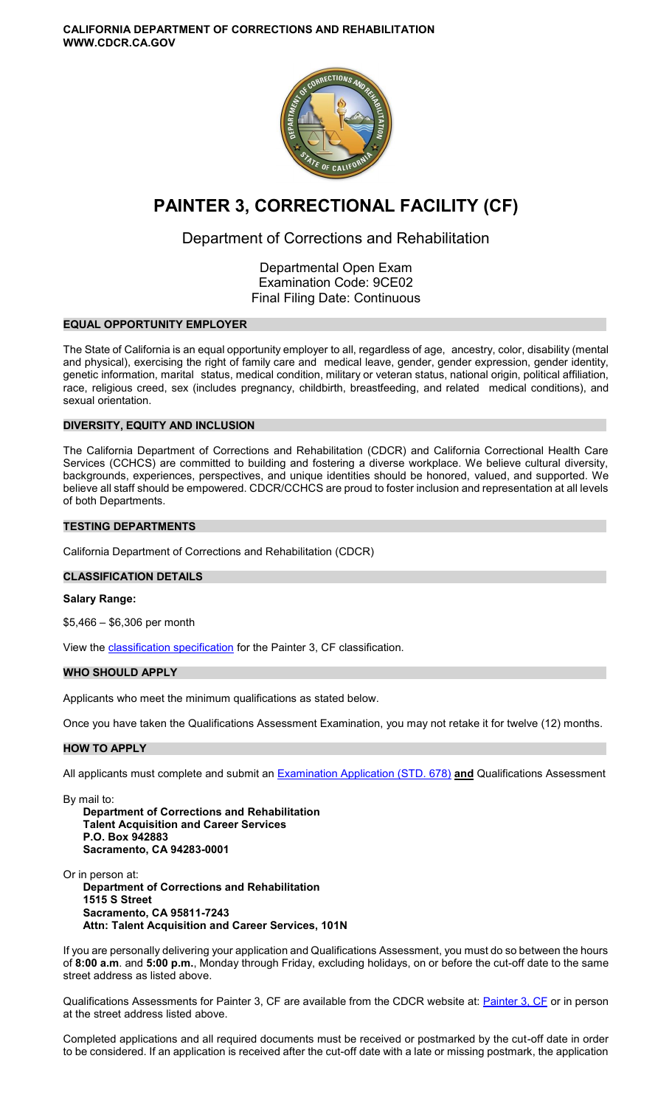**CALIFORNIA DEPARTMENT OF CORRECTIONS AND REHABILITATION WWW.CDCR.CA.GOV** 



# **PAINTER 3, CORRECTIONAL FACILITY (CF)**

## Department of Corrections and Rehabilitation

Departmental Open Exam Examination Code: 9CE02 Final Filing Date: Continuous

## **EQUAL OPPORTUNITY EMPLOYER**

The State of California is an equal opportunity employer to all, regardless of age, ancestry, color, disability (mental and physical), exercising the right of family care and medical leave, gender, gender expression, gender identity, genetic information, marital status, medical condition, military or veteran status, national origin, political affiliation, race, religious creed, sex (includes pregnancy, childbirth, breastfeeding, and related medical conditions), and sexual orientation.

## **DIVERSITY, EQUITY AND INCLUSION**

The California Department of Corrections and Rehabilitation (CDCR) and California Correctional Health Care Services (CCHCS) are committed to building and fostering a diverse workplace. We believe cultural diversity, backgrounds, experiences, perspectives, and unique identities should be honored, valued, and supported. We believe all staff should be empowered. CDCR/CCHCS are proud to foster inclusion and representation at all levels of both Departments.

## **TESTING DEPARTMENTS**

California Department of Corrections and Rehabilitation (CDCR)

## **CLASSIFICATION DETAILS**

## **Salary Range:**

\$5,466 – \$6,306 per month

View the **classification specification** for the Painter 3, CF classification.

## **WHO SHOULD APPLY**

Applicants who meet the minimum qualifications as stated below.

Once you have taken the Qualifications Assessment Examination, you may not retake it for twelve (12) months.

#### **HOW TO APPLY**

All applicants must complete and submit an [Examination Application \(STD. 678\)](https://jobs.ca.gov/pdf/STD678.pdf) **and** Qualifications Assessment

By mail to:

**Department of Corrections and Rehabilitation Talent Acquisition and Career Services P.O. Box 942883 Sacramento, CA 94283-0001** 

Or in person at: **Department of Corrections and Rehabilitation 1515 S Street Sacramento, CA 95811-7243 Attn: Talent Acquisition and Career Services, 101N** 

If you are personally delivering your application and Qualifications Assessment, you must do so between the hours of **8:00 a.m**. and **5:00 p.m.**, Monday through Friday, excluding holidays, on or before the cut-off date to the same street address as listed above.

Qualifications Assessments for [Painter 3, CF](https://www.cdcr.ca.gov/careers/painter3cfqa-o-c/) are available from the CDCR website at: Painter 3, CF or in person at the street address listed above.

Completed applications and all required documents must be received or postmarked by the cut-off date in order to be considered. If an application is received after the cut-off date with a late or missing postmark, the application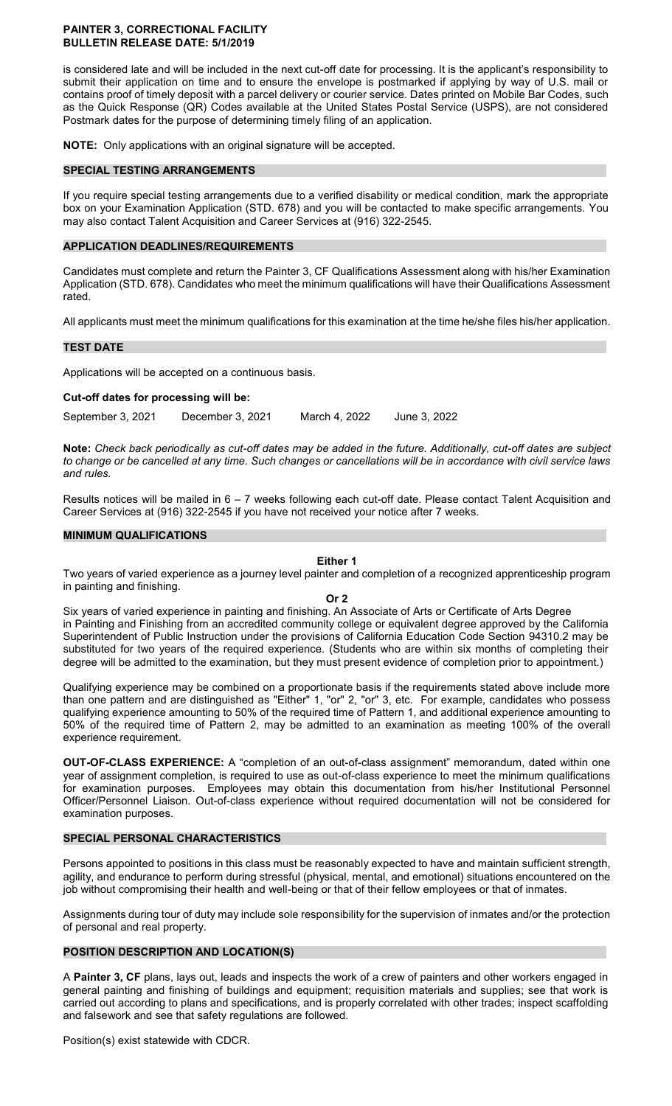#### **PAINTER 3, CORRECTIONAL FACILITY BULLETIN RELEASE DATE: 5/1/2019**

is considered late and will be included in the next cut-off date for processing. It is the applicant's responsibility to submit their application on time and to ensure the envelope is postmarked if applying by way of U.S. mail or contains proof of timely deposit with a parcel delivery or courier service. Dates printed on Mobile Bar Codes, such as the Quick Response (QR) Codes available at the United States Postal Service (USPS), are not considered Postmark dates for the purpose of determining timely filing of an application.

**NOTE:** Only applications with an original signature will be accepted.

## **SPECIAL TESTING ARRANGEMENTS**

If you require special testing arrangements due to a verified disability or medical condition, mark the appropriate box on your Examination Application (STD. 678) and you will be contacted to make specific arrangements. You may also contact Talent Acquisition and Career Services at (916) 322-2545.

## **APPLICATION DEADLINES/REQUIREMENTS**

Candidates must complete and return the Painter 3, CF Qualifications Assessment along with his/her Examination Application (STD. 678). Candidates who meet the minimum qualifications will have their Qualifications Assessment rated.

All applicants must meet the minimum qualifications for this examination at the time he/she files his/her application.

## **TEST DATE**

Applications will be accepted on a continuous basis.

#### **Cut-off dates for processing will be:**

September 3, 2021 December 3, 2021 March 4, 2022 June 3, 2022

**Note:** *Check back periodically as cut-off dates may be added in the future. Additionally, cut-off dates are subject to change or be cancelled at any time. Such changes or cancellations will be in accordance with civil service laws and rules.* 

Results notices will be mailed in 6 – 7 weeks following each cut-off date. Please contact Talent Acquisition and Career Services at (916) 322-2545 if you have not received your notice after 7 weeks.

## **MINIMUM QUALIFICATIONS**

#### **Either 1**

Two years of varied experience as a journey level painter and completion of a recognized apprenticeship program in painting and finishing.

#### **Or 2**

Six years of varied experience in painting and finishing. An Associate of Arts or Certificate of Arts Degree in Painting and Finishing from an accredited community college or equivalent degree approved by the California Superintendent of Public Instruction under the provisions of California Education Code Section 94310.2 may be substituted for two years of the required experience. (Students who are within six months of completing their degree will be admitted to the examination, but they must present evidence of completion prior to appointment.)

Qualifying experience may be combined on a proportionate basis if the requirements stated above include more than one pattern and are distinguished as "Either" 1, "or" 2, "or" 3, etc. For example, candidates who possess qualifying experience amounting to 50% of the required time of Pattern 1, and additional experience amounting to 50% of the required time of Pattern 2, may be admitted to an examination as meeting 100% of the overall experience requirement.

**OUT-OF-CLASS EXPERIENCE:** A "completion of an out-of-class assignment" memorandum, dated within one year of assignment completion, is required to use as out-of-class experience to meet the minimum qualifications for examination purposes. Employees may obtain this documentation from his/her Institutional Personnel Officer/Personnel Liaison. Out-of-class experience without required documentation will not be considered for examination purposes.

#### **SPECIAL PERSONAL CHARACTERISTICS**

Persons appointed to positions in this class must be reasonably expected to have and maintain sufficient strength, agility, and endurance to perform during stressful (physical, mental, and emotional) situations encountered on the job without compromising their health and well-being or that of their fellow employees or that of inmates.

Assignments during tour of duty may include sole responsibility for the supervision of inmates and/or the protection of personal and real property.

## **POSITION DESCRIPTION AND LOCATION(S)**

A **Painter 3, CF** plans, lays out, leads and inspects the work of a crew of painters and other workers engaged in general painting and finishing of buildings and equipment; requisition materials and supplies; see that work is carried out according to plans and specifications, and is properly correlated with other trades; inspect scaffolding and falsework and see that safety regulations are followed.

Position(s) exist statewide with CDCR.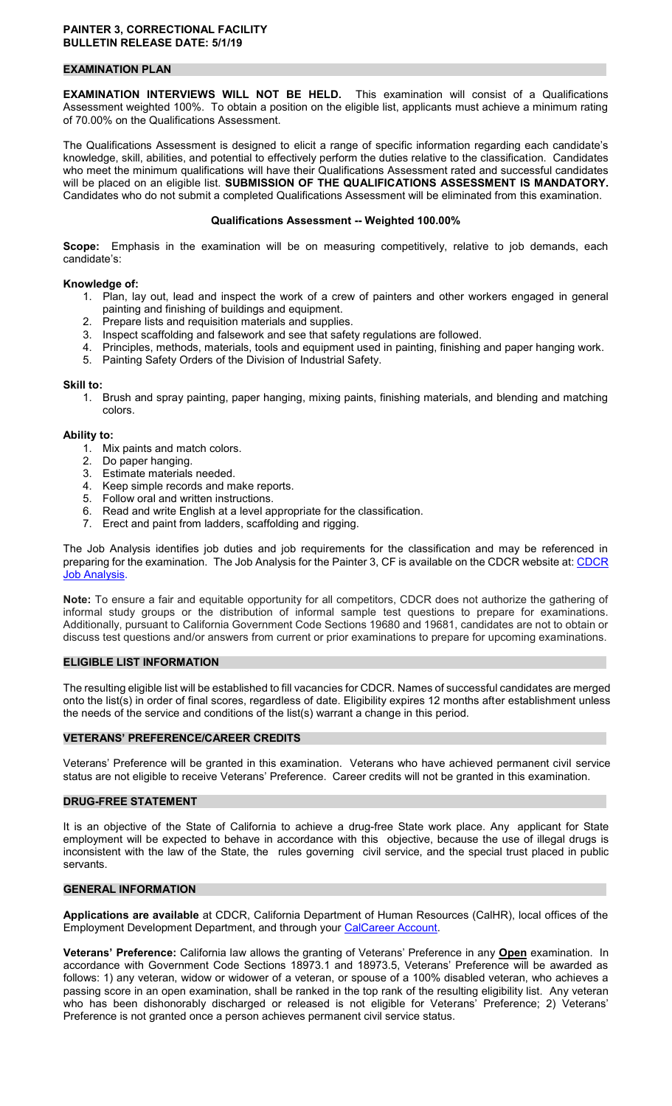## **EXAMINATION PLAN**

**EXAMINATION INTERVIEWS WILL NOT BE HELD.** This examination will consist of a Qualifications Assessment weighted 100%. To obtain a position on the eligible list, applicants must achieve a minimum rating of 70.00% on the Qualifications Assessment.

The Qualifications Assessment is designed to elicit a range of specific information regarding each candidate's knowledge, skill, abilities, and potential to effectively perform the duties relative to the classification. Candidates who meet the minimum qualifications will have their Qualifications Assessment rated and successful candidates will be placed on an eligible list. **SUBMISSION OF THE QUALIFICATIONS ASSESSMENT IS MANDATORY.**  Candidates who do not submit a completed Qualifications Assessment will be eliminated from this examination.

## **Qualifications Assessment -- Weighted 100.00%**

**Scope:** Emphasis in the examination will be on measuring competitively, relative to job demands, each candidate's:

## **Knowledge of:**

- 1. Plan, lay out, lead and inspect the work of a crew of painters and other workers engaged in general painting and finishing of buildings and equipment.
- 2. Prepare lists and requisition materials and supplies.
- 3. Inspect scaffolding and falsework and see that safety regulations are followed.
- 4. Principles, methods, materials, tools and equipment used in painting, finishing and paper hanging work.
- 5. Painting Safety Orders of the Division of Industrial Safety.

#### **Skill to:**

1. Brush and spray painting, paper hanging, mixing paints, finishing materials, and blending and matching colors.

#### **Ability to:**

- 1. Mix paints and match colors.
- 2. Do paper hanging.
- 3. Estimate materials needed.
- 4. Keep simple records and make reports.
- 5. Follow oral and written instructions.
- 6. Read and write English at a level appropriate for the classification.
- 7. Erect and paint from ladders, scaffolding and rigging.

The Job Analysis identifies job duties and job requirements for the classification and may be referenced in preparing for the examination. The Job Analysis for the Painter 3, CF is available on the CDCR website at: CDCR [Job Analysis.](https://www.cdcr.ca.gov/Career_Opportunities/HR/OPS/Exams/Analysis/index.html)

**Note:** To ensure a fair and equitable opportunity for all competitors, CDCR does not authorize the gathering of informal study groups or the distribution of informal sample test questions to prepare for examinations. Additionally, pursuant to California Government Code Sections 19680 and 19681, candidates are not to obtain or discuss test questions and/or answers from current or prior examinations to prepare for upcoming examinations.

## **ELIGIBLE LIST INFORMATION**

The resulting eligible list will be established to fill vacancies for CDCR. Names of successful candidates are merged onto the list(s) in order of final scores, regardless of date. Eligibility expires 12 months after establishment unless the needs of the service and conditions of the list(s) warrant a change in this period.

#### **VETERANS' PREFERENCE/CAREER CREDITS**

Veterans' Preference will be granted in this examination. Veterans who have achieved permanent civil service status are not eligible to receive Veterans' Preference. Career credits will not be granted in this examination.

## **DRUG-FREE STATEMENT**

It is an objective of the State of California to achieve a drug-free State work place. Any applicant for State employment will be expected to behave in accordance with this objective, because the use of illegal drugs is inconsistent with the law of the State, the rules governing civil service, and the special trust placed in public servants.

#### **GENERAL INFORMATION**

**Applications are available** at CDCR, California Department of Human Resources (CalHR), local offices of the Employment Development Department, and through your [CalCareer Account.](https://www.jobs.ca.gov/)

**Veterans' Preference:** California law allows the granting of Veterans' Preference in any **Open** examination. In accordance with Government Code Sections 18973.1 and 18973.5, Veterans' Preference will be awarded as follows: 1) any veteran, widow or widower of a veteran, or spouse of a 100% disabled veteran, who achieves a passing score in an open examination, shall be ranked in the top rank of the resulting eligibility list. Any veteran who has been dishonorably discharged or released is not eligible for Veterans' Preference; 2) Veterans' Preference is not granted once a person achieves permanent civil service status.